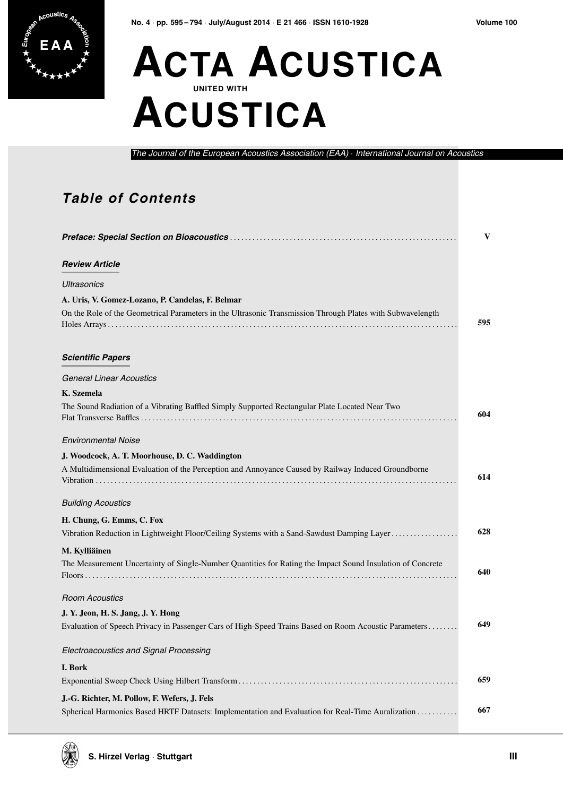

## **E A A ACTA ACUSTICA UNITED WITH ACUSTICA**

*The Journal of the European Acoustics Association (EAA)* · *International Journal on Acoustics*

## **Table of Contents**

|                                                                                                                                                   | V   |
|---------------------------------------------------------------------------------------------------------------------------------------------------|-----|
| <b>Review Article</b>                                                                                                                             |     |
| <b>Ultrasonics</b>                                                                                                                                |     |
| A. Uris, V. Gomez-Lozano, P. Candelas, F. Belmar                                                                                                  |     |
| On the Role of the Geometrical Parameters in the Ultrasonic Transmission Through Plates with Subwavelength                                        | 595 |
| <b>Scientific Papers</b>                                                                                                                          |     |
| <b>General Linear Acoustics</b>                                                                                                                   |     |
| K. Szemela                                                                                                                                        |     |
| The Sound Radiation of a Vibrating Baffled Simply Supported Rectangular Plate Located Near Two                                                    | 604 |
| <b>Environmental Noise</b>                                                                                                                        |     |
| J. Woodcock, A. T. Moorhouse, D. C. Waddington                                                                                                    |     |
| A Multidimensional Evaluation of the Perception and Annoyance Caused by Railway Induced Groundborne                                               | 614 |
| <b>Building Acoustics</b>                                                                                                                         |     |
| H. Chung, G. Emms, C. Fox                                                                                                                         |     |
| Vibration Reduction in Lightweight Floor/Ceiling Systems with a Sand-Sawdust Damping Layer                                                        | 628 |
| M. Kylliäinen                                                                                                                                     |     |
| The Measurement Uncertainty of Single-Number Quantities for Rating the Impact Sound Insulation of Concrete                                        | 640 |
| <b>Room Acoustics</b>                                                                                                                             |     |
| J. Y. Jeon, H. S. Jang, J. Y. Hong                                                                                                                |     |
| Evaluation of Speech Privacy in Passenger Cars of High-Speed Trains Based on Room Acoustic Parameters                                             | 649 |
| Electroacoustics and Signal Processing                                                                                                            |     |
| I. Bork                                                                                                                                           |     |
|                                                                                                                                                   | 659 |
| J.-G. Richter, M. Pollow, F. Wefers, J. Fels<br>Spherical Harmonics Based HRTF Datasets: Implementation and Evaluation for Real-Time Auralization | 667 |